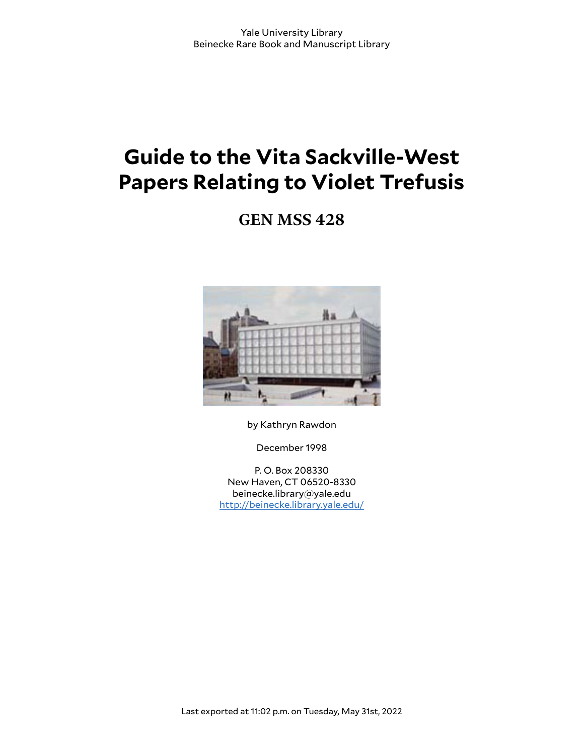# **Guide to the Vita Sackville-West Papers Relating to Violet Trefusis**

**GEN MSS 428**



by Kathryn Rawdon

December 1998

P. O. Box 208330 New Haven, CT 06520-8330 beinecke.library@yale.edu <http://beinecke.library.yale.edu/>

Last exported at 11:02 p.m. on Tuesday, May 31st, 2022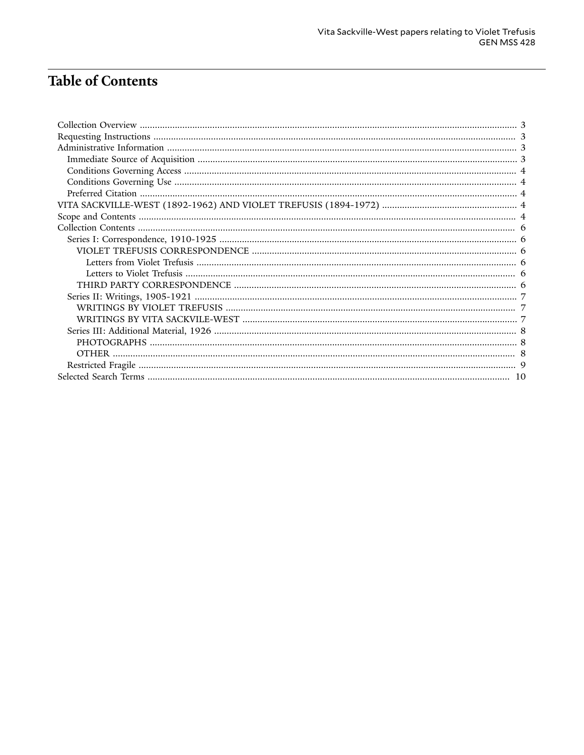## **Table of Contents**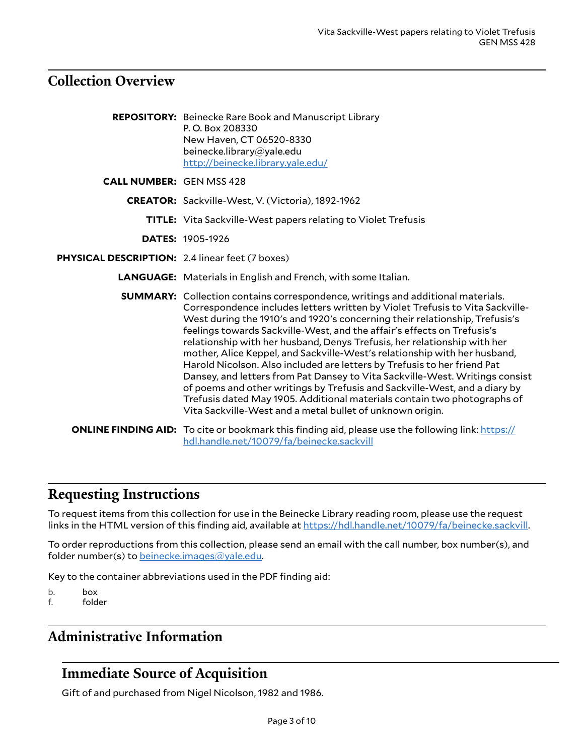### <span id="page-2-0"></span>**Collection Overview**

**REPOSITORY:** Beinecke Rare Book and Manuscript Library P. O. Box 208330 New Haven, CT 06520-8330 beinecke.library@yale.edu <http://beinecke.library.yale.edu/> **CALL NUMBER:** GEN MSS 428 **CREATOR:** Sackville-West, V. (Victoria), 1892-1962 **TITLE:** Vita Sackville-West papers relating to Violet Trefusis **DATES:** 1905-1926 **PHYSICAL DESCRIPTION:** 2.4 linear feet (7 boxes) **LANGUAGE:** Materials in English and French, with some Italian. **SUMMARY:** Collection contains correspondence, writings and additional materials. Correspondence includes letters written by Violet Trefusis to Vita Sackville-West during the 1910's and 1920's concerning their relationship, Trefusis's feelings towards Sackville-West, and the affair's effects on Trefusis's relationship with her husband, Denys Trefusis, her relationship with her mother, Alice Keppel, and Sackville-West's relationship with her husband, Harold Nicolson. Also included are letters by Trefusis to her friend Pat Dansey, and letters from Pat Dansey to Vita Sackville-West. Writings consist of poems and other writings by Trefusis and Sackville-West, and a diary by Trefusis dated May 1905. Additional materials contain two photographs of Vita Sackville-West and a metal bullet of unknown origin. **ONLINE FINDING AID:** To cite or bookmark this finding aid, please use the following link: [https://](https://hdl.handle.net/10079/fa/beinecke.sackvill) [hdl.handle.net/10079/fa/beinecke.sackvill](https://hdl.handle.net/10079/fa/beinecke.sackvill)

### <span id="page-2-1"></span>**Requesting Instructions**

To request items from this collection for use in the Beinecke Library reading room, please use the request links in the HTML version of this finding aid, available at [https://hdl.handle.net/10079/fa/beinecke.sackvill.](https://hdl.handle.net/10079/fa/beinecke.sackvill)

To order reproductions from this collection, please send an email with the call number, box number(s), and folder number(s) to [beinecke.images@yale.edu.](mailto:beinecke.images@yale.edu)

Key to the container abbreviations used in the PDF finding aid:

b. box

f. folder

### <span id="page-2-2"></span>**Administrative Information**

### <span id="page-2-3"></span>**Immediate Source of Acquisition**

Gift of and purchased from Nigel Nicolson, 1982 and 1986.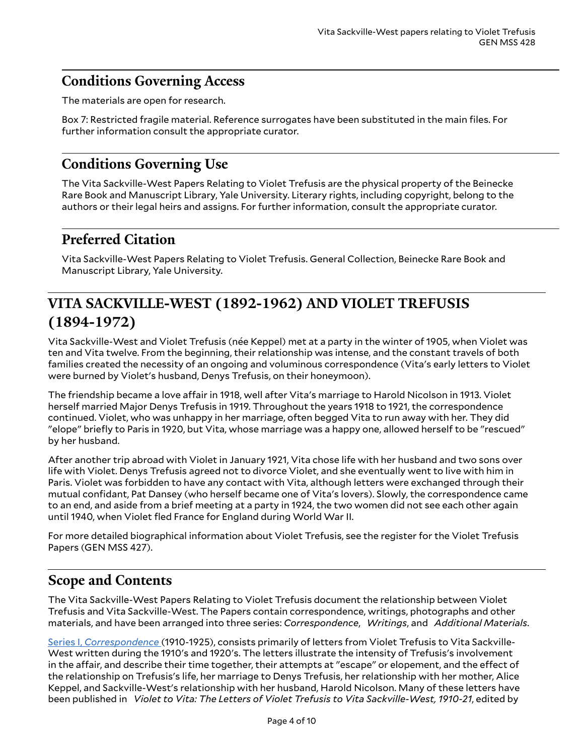### <span id="page-3-0"></span>**Conditions Governing Access**

The materials are open for research.

Box 7: Restricted fragile material. Reference surrogates have been substituted in the main files. For further information consult the appropriate curator.

### <span id="page-3-1"></span>**Conditions Governing Use**

The Vita Sackville-West Papers Relating to Violet Trefusis are the physical property of the Beinecke Rare Book and Manuscript Library, Yale University. Literary rights, including copyright, belong to the authors or their legal heirs and assigns. For further information, consult the appropriate curator.

### <span id="page-3-2"></span>**Preferred Citation**

Vita Sackville-West Papers Relating to Violet Trefusis. General Collection, Beinecke Rare Book and Manuscript Library, Yale University.

### <span id="page-3-3"></span>**VITA SACKVILLE-WEST (1892-1962) AND VIOLET TREFUSIS (1894-1972)**

Vita Sackville-West and Violet Trefusis (née Keppel) met at a party in the winter of 1905, when Violet was ten and Vita twelve. From the beginning, their relationship was intense, and the constant travels of both families created the necessity of an ongoing and voluminous correspondence (Vita's early letters to Violet were burned by Violet's husband, Denys Trefusis, on their honeymoon).

The friendship became a love affair in 1918, well after Vita's marriage to Harold Nicolson in 1913. Violet herself married Major Denys Trefusis in 1919. Throughout the years 1918 to 1921, the correspondence continued. Violet, who was unhappy in her marriage, often begged Vita to run away with her. They did "elope" briefly to Paris in 1920, but Vita, whose marriage was a happy one, allowed herself to be "rescued" by her husband.

After another trip abroad with Violet in January 1921, Vita chose life with her husband and two sons over life with Violet. Denys Trefusis agreed not to divorce Violet, and she eventually went to live with him in Paris. Violet was forbidden to have any contact with Vita, although letters were exchanged through their mutual confidant, Pat Dansey (who herself became one of Vita's lovers). Slowly, the correspondence came to an end, and aside from a brief meeting at a party in 1924, the two women did not see each other again until 1940, when Violet fled France for England during World War II.

For more detailed biographical information about Violet Trefusis, see the register for the Violet Trefusis Papers (GEN MSS 427).

### <span id="page-3-4"></span>**Scope and Contents**

The Vita Sackville-West Papers Relating to Violet Trefusis document the relationship between Violet Trefusis and Vita Sackville-West. The Papers contain correspondence, writings, photographs and other materials, and have been arranged into three series: *Correspondence*, *Writings*, and *Additional Materials*.

Series I, *[Correspondence](#page-5-1)* (1910-1925), consists primarily of letters from Violet Trefusis to Vita Sackville-West written during the 1910's and 1920's. The letters illustrate the intensity of Trefusis's involvement in the affair, and describe their time together, their attempts at "escape" or elopement, and the effect of the relationship on Trefusis's life, her marriage to Denys Trefusis, her relationship with her mother, Alice Keppel, and Sackville-West's relationship with her husband, Harold Nicolson. Many of these letters have been published in *Violet to Vita: The Letters of Violet Trefusis to Vita Sackville-West, 1910-21*, edited by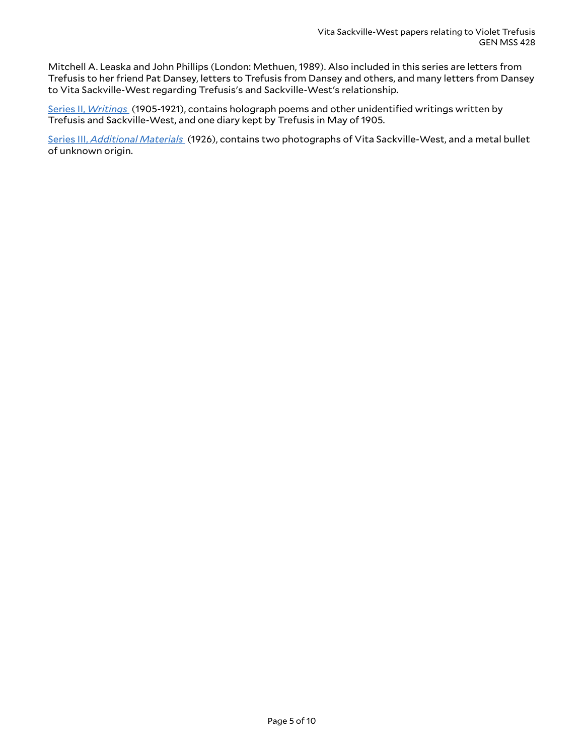Mitchell A. Leaska and John Phillips (London: Methuen, 1989). Also included in this series are letters from Trefusis to her friend Pat Dansey, letters to Trefusis from Dansey and others, and many letters from Dansey to Vita Sackville-West regarding Trefusis's and Sackville-West's relationship.

Series II, *[Writings](#page-6-0)* (1905-1921), contains holograph poems and other unidentified writings written by Trefusis and Sackville-West, and one diary kept by Trefusis in May of 1905.

Series III, *[Additional](#page-7-0) Materials* (1926), contains two photographs of Vita Sackville-West, and a metal bullet of unknown origin.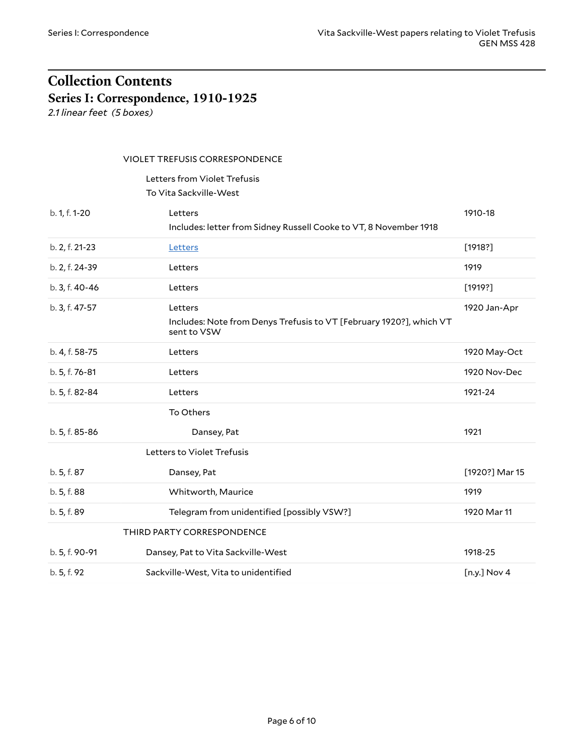# <span id="page-5-0"></span>**Collection Contents Series I: Correspondence, 1910-1925**

<span id="page-5-1"></span>*2.1 linear feet (5 boxes)*

#### <span id="page-5-2"></span>VIOLET TREFUSIS CORRESPONDENCE

<span id="page-5-3"></span>Letters from Violet Trefusis To Vita Sackville-West

<span id="page-5-5"></span><span id="page-5-4"></span>

| b. 1, f. 1-20  | 1910-18<br>Letters<br>Includes: letter from Sidney Russell Cooke to VT, 8 November 1918                       |                |
|----------------|---------------------------------------------------------------------------------------------------------------|----------------|
| b. 2, f. 21-23 | Letters                                                                                                       | [1918?]        |
| b. 2, f. 24-39 | Letters                                                                                                       |                |
| b. 3, f. 40-46 | Letters                                                                                                       | [1919?]        |
| b. 3, f. 47-57 | 1920 Jan-Apr<br>Letters<br>Includes: Note from Denys Trefusis to VT [February 1920?], which VT<br>sent to VSW |                |
| b. 4, f. 58-75 | Letters                                                                                                       | 1920 May-Oct   |
| b. 5, f. 76-81 | Letters                                                                                                       |                |
| b. 5, f. 82-84 | Letters                                                                                                       | 1921-24        |
|                | To Others                                                                                                     |                |
| b. 5, f. 85-86 | Dansey, Pat                                                                                                   | 1921           |
|                | Letters to Violet Trefusis                                                                                    |                |
| b. 5, f. 87    | Dansey, Pat                                                                                                   | [1920?] Mar 15 |
| b. 5, f. 88    | Whitworth, Maurice                                                                                            |                |
| b. 5, f. 89    | Telegram from unidentified [possibly VSW?]                                                                    | 1920 Mar 11    |
|                | THIRD PARTY CORRESPONDENCE                                                                                    |                |
| b. 5, f. 90-91 | Dansey, Pat to Vita Sackville-West                                                                            | 1918-25        |
| b. 5, f. 92    | Sackville-West, Vita to unidentified                                                                          | [n.y.] Nov 4   |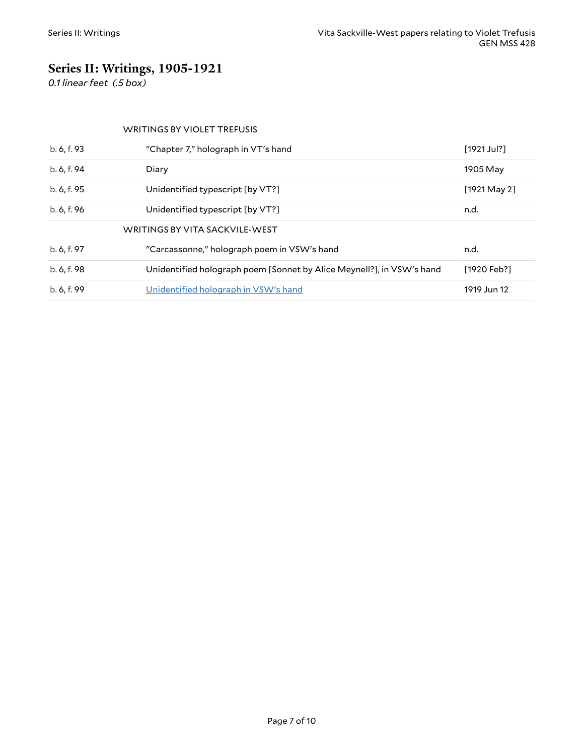### <span id="page-6-0"></span>**Series II: Writings, 1905-1921**

*0.1 linear feet (.5 box)*

#### <span id="page-6-2"></span><span id="page-6-1"></span>WRITINGS BY VIOLET TREFUSIS

| b. 6, f. 93 | "Chapter 7," holograph in VT's hand                                   | $[1921$ Jul?] |
|-------------|-----------------------------------------------------------------------|---------------|
| b. 6, f. 94 | Diary                                                                 |               |
| b. 6, f. 95 | Unidentified typescript [by VT?]                                      | [1921 May 2]  |
| b. 6, f. 96 | Unidentified typescript [by VT?]                                      | n.d.          |
|             | WRITINGS BY VITA SACKVILE-WEST                                        |               |
| b. 6, f. 97 | "Carcassonne," holograph poem in VSW's hand                           | n.d.          |
| b. 6, f. 98 | Unidentified holograph poem [Sonnet by Alice Meynell?], in VSW's hand | [1920 Feb?]   |
| b. 6, f. 99 | Unidentified holograph in VSW's hand                                  | 1919 Jun 12   |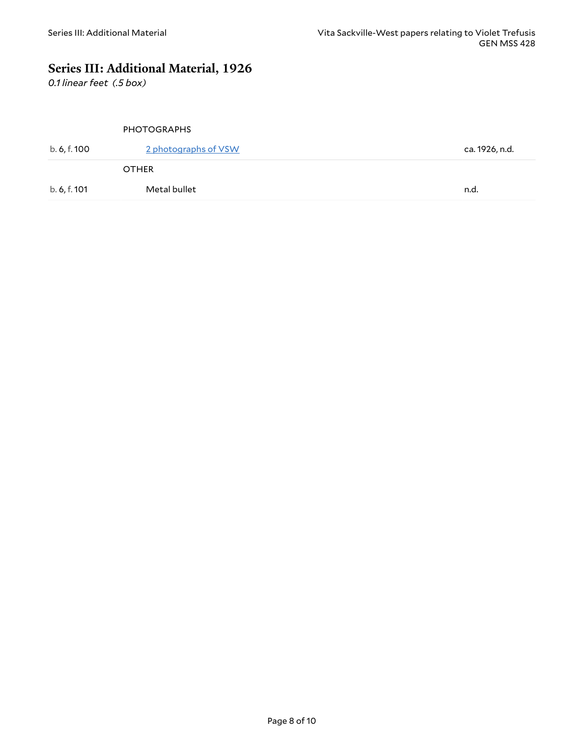### <span id="page-7-0"></span>**Series III: Additional Material, 1926**

*0.1 linear feet (.5 box)*

#### <span id="page-7-2"></span><span id="page-7-1"></span>PHOTOGRAPHS

| b. 6, f. 100 | 2 photographs of VSW | ca. 1926, n.d. |
|--------------|----------------------|----------------|
|              | <b>OTHER</b>         |                |
| b. 6, f. 101 | Metal bullet         | n.d.           |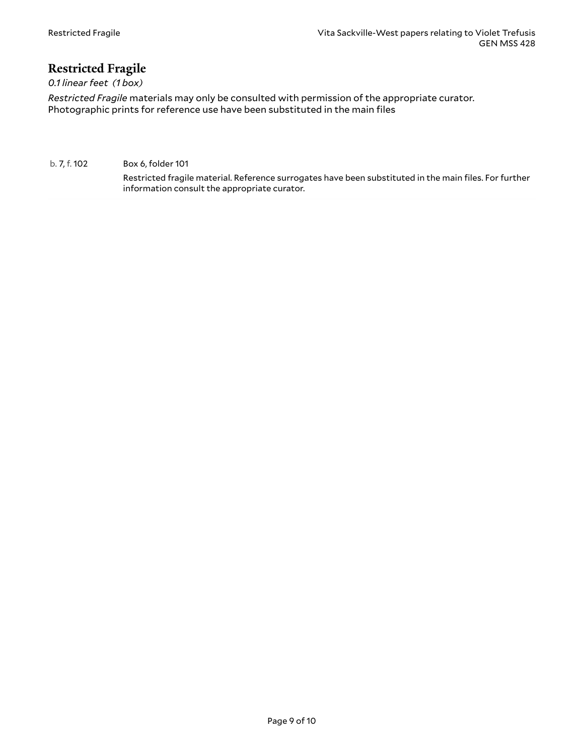### <span id="page-8-0"></span>**Restricted Fragile**

*0.1 linear feet (1 box)*

*Restricted Fragile* materials may only be consulted with permission of the appropriate curator. Photographic prints for reference use have been substituted in the main files

#### b. 7, f. 102 Box 6, folder 101

Restricted fragile material. Reference surrogates have been substituted in the main files. For further information consult the appropriate curator.